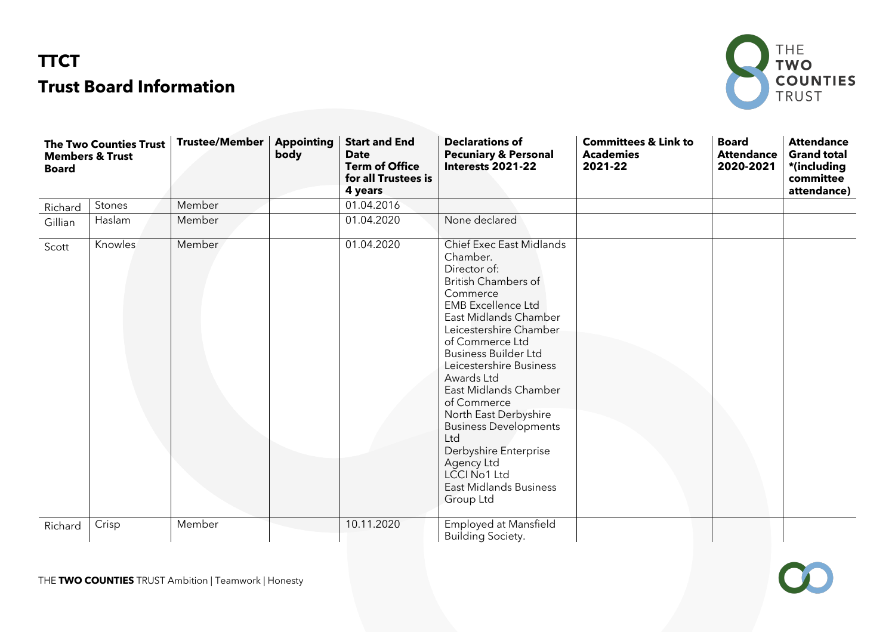## **TTCT Trust Board Information**



 $\mathbf{C}$ 

| <b>The Two Counties Trust</b><br><b>Members &amp; Trust</b><br><b>Board</b> |         | <b>Trustee/Member</b> | <b>Appointing</b><br>body | <b>Start and End</b><br><b>Date</b><br><b>Term of Office</b><br>for all Trustees is<br>4 years | <b>Declarations of</b><br><b>Pecuniary &amp; Personal</b><br>Interests 2021-22                                                                                                                                                                                                                                                                                                                                                                                                                | <b>Committees &amp; Link to</b><br><b>Academies</b><br>2021-22 | <b>Board</b><br><b>Attendance</b><br>2020-2021 | <b>Attendance</b><br><b>Grand total</b><br>*(including<br>committee<br>attendance) |
|-----------------------------------------------------------------------------|---------|-----------------------|---------------------------|------------------------------------------------------------------------------------------------|-----------------------------------------------------------------------------------------------------------------------------------------------------------------------------------------------------------------------------------------------------------------------------------------------------------------------------------------------------------------------------------------------------------------------------------------------------------------------------------------------|----------------------------------------------------------------|------------------------------------------------|------------------------------------------------------------------------------------|
| Richard                                                                     | Stones  | Member                |                           | 01.04.2016                                                                                     |                                                                                                                                                                                                                                                                                                                                                                                                                                                                                               |                                                                |                                                |                                                                                    |
| Gillian                                                                     | Haslam  | Member                |                           | 01.04.2020                                                                                     | None declared                                                                                                                                                                                                                                                                                                                                                                                                                                                                                 |                                                                |                                                |                                                                                    |
| Scott                                                                       | Knowles | <b>Member</b>         |                           | 01.04.2020                                                                                     | Chief Exec East Midlands<br>Chamber.<br>Director of:<br><b>British Chambers of</b><br>Commerce<br><b>EMB</b> Excellence Ltd<br>East Midlands Chamber<br>Leicestershire Chamber<br>of Commerce Ltd<br><b>Business Builder Ltd</b><br>Leicestershire Business<br>Awards Ltd<br>East Midlands Chamber<br>of Commerce<br>North East Derbyshire<br><b>Business Developments</b><br>Ltd<br>Derbyshire Enterprise<br>Agency Ltd<br><b>LCCI No1 Ltd</b><br><b>East Midlands Business</b><br>Group Ltd |                                                                |                                                |                                                                                    |
| Richard                                                                     | Crisp   | Member                |                           | 10.11.2020                                                                                     | Employed at Mansfield<br><b>Building Society.</b>                                                                                                                                                                                                                                                                                                                                                                                                                                             |                                                                |                                                |                                                                                    |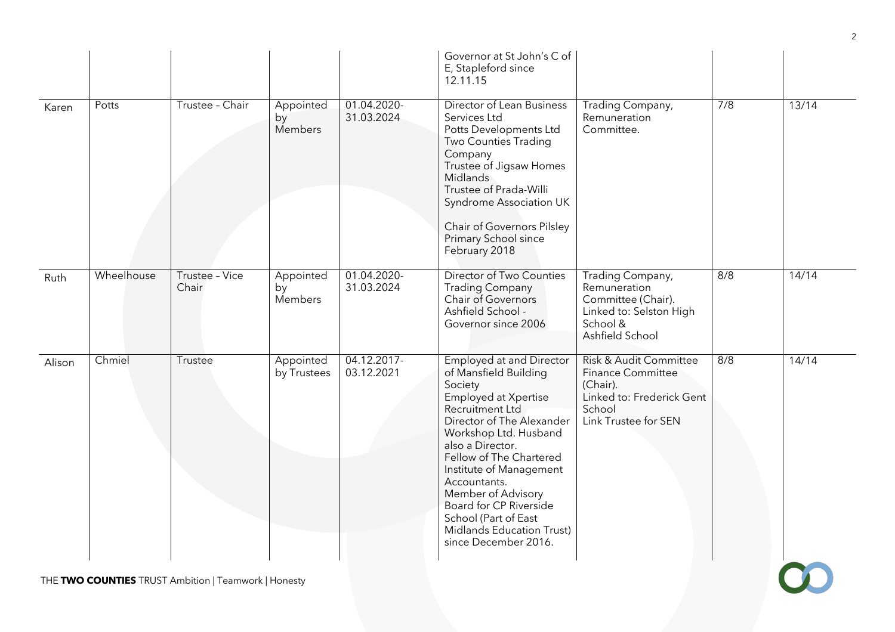|                                                      |            |                         |                            |                           | Governor at St John's C of<br>E, Stapleford since<br>12.11.15                                                                                                                                                                                                                                                                                                                               |                                                                                                                               |     |       |  |
|------------------------------------------------------|------------|-------------------------|----------------------------|---------------------------|---------------------------------------------------------------------------------------------------------------------------------------------------------------------------------------------------------------------------------------------------------------------------------------------------------------------------------------------------------------------------------------------|-------------------------------------------------------------------------------------------------------------------------------|-----|-------|--|
| Karen                                                | Potts      | Trustee - Chair         | Appointed<br>by<br>Members | 01.04.2020-<br>31.03.2024 | <b>Director of Lean Business</b><br>Services Ltd<br>Potts Developments Ltd<br><b>Two Counties Trading</b><br>Company<br>Trustee of Jigsaw Homes<br>Midlands<br>Trustee of Prada-Willi<br>Syndrome Association UK<br>Chair of Governors Pilsley<br>Primary School since<br>February 2018                                                                                                     | Trading Company,<br>Remuneration<br>Committee.                                                                                | 7/8 | 13/14 |  |
| Ruth                                                 | Wheelhouse | Trustee - Vice<br>Chair | Appointed<br>by<br>Members | 01.04.2020-<br>31.03.2024 | Director of Two Counties<br><b>Trading Company</b><br>Chair of Governors<br>Ashfield School -<br>Governor since 2006                                                                                                                                                                                                                                                                        | Trading Company,<br>Remuneration<br>Committee (Chair).<br>Linked to: Selston High<br>School &<br>Ashfield School              | 8/8 | 14/14 |  |
| Alison                                               | Chmiel     | Trustee                 | Appointed<br>by Trustees   | 04.12.2017-<br>03.12.2021 | <b>Employed at and Director</b><br>of Mansfield Building<br>Society<br>Employed at Xpertise<br>Recruitment Ltd<br>Director of The Alexander<br>Workshop Ltd. Husband<br>also a Director.<br>Fellow of The Chartered<br>Institute of Management<br>Accountants.<br>Member of Advisory<br>Board for CP Riverside<br>School (Part of East<br>Midlands Education Trust)<br>since December 2016. | Risk & Audit Committee<br><b>Finance Committee</b><br>(Chair).<br>Linked to: Frederick Gent<br>School<br>Link Trustee for SEN | 8/8 | 14/14 |  |
| THE TWO COUNTIES TRUST Ambition   Teamwork   Honesty |            |                         |                            |                           |                                                                                                                                                                                                                                                                                                                                                                                             |                                                                                                                               |     |       |  |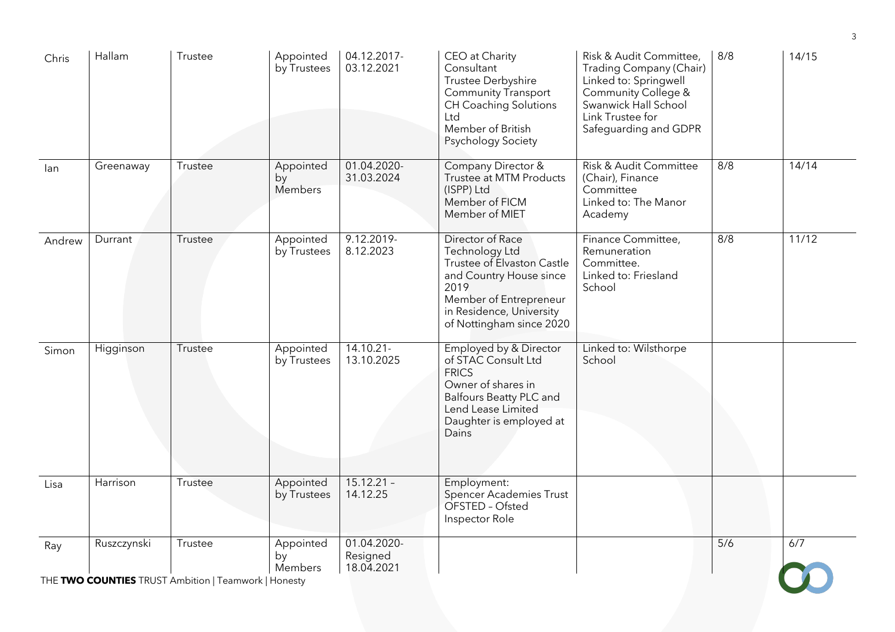| Chris                                                | Hallam      | Trustee | Appointed<br>by Trustees   | 04.12.2017-<br>03.12.2021             | CEO at Charity<br>Consultant<br>Trustee Derbyshire<br>Community Transport<br><b>CH Coaching Solutions</b><br>Ltd<br>Member of British<br>Psychology Society                           | Risk & Audit Committee,<br>Trading Company (Chair)<br>Linked to: Springwell<br>Community College &<br>Swanwick Hall School<br>Link Trustee for<br>Safeguarding and GDPR | 8/8 | 14/15 |  |
|------------------------------------------------------|-------------|---------|----------------------------|---------------------------------------|---------------------------------------------------------------------------------------------------------------------------------------------------------------------------------------|-------------------------------------------------------------------------------------------------------------------------------------------------------------------------|-----|-------|--|
| lan                                                  | Greenaway   | Trustee | Appointed<br>by<br>Members | 01.04.2020-<br>31.03.2024             | Company Director &<br>Trustee at MTM Products<br>(ISPP) Ltd<br>Member of FICM<br>Member of MIET                                                                                       | Risk & Audit Committee<br>(Chair), Finance<br>Committee<br>Linked to: The Manor<br>Academy                                                                              | 8/8 | 14/14 |  |
| Andrew                                               | Durrant     | Trustee | Appointed<br>by Trustees   | $9.12.2019 -$<br>8.12.2023            | Director of Race<br>Technology Ltd<br>Trustee of Elvaston Castle<br>and Country House since<br>2019<br>Member of Entrepreneur<br>in Residence, University<br>of Nottingham since 2020 | Finance Committee,<br>Remuneration<br>Committee.<br>Linked to: Friesland<br>School                                                                                      | 8/8 | 11/12 |  |
| Simon                                                | Higginson   | Trustee | Appointed<br>by Trustees   | $14.10.21 -$<br>13.10.2025            | Employed by & Director<br>of STAC Consult Ltd<br><b>FRICS</b><br>Owner of shares in<br><b>Balfours Beatty PLC and</b><br>Lend Lease Limited<br>Daughter is employed at<br>Dains       | Linked to: Wilsthorpe<br>School                                                                                                                                         |     |       |  |
| Lisa                                                 | Harrison    | Trustee | Appointed<br>by Trustees   | $15.12.21 -$<br>14.12.25              | Employment:<br><b>Spencer Academies Trust</b><br>OFSTED - Ofsted<br>Inspector Role                                                                                                    |                                                                                                                                                                         |     |       |  |
| Ray                                                  | Ruszczynski | Trustee | Appointed<br>by<br>Members | 01.04.2020-<br>Resigned<br>18.04.2021 |                                                                                                                                                                                       |                                                                                                                                                                         | 5/6 | 6/7   |  |
| THE TWO COUNTIES TRUST Ambition   Teamwork   Honesty |             |         |                            |                                       |                                                                                                                                                                                       |                                                                                                                                                                         |     |       |  |

3